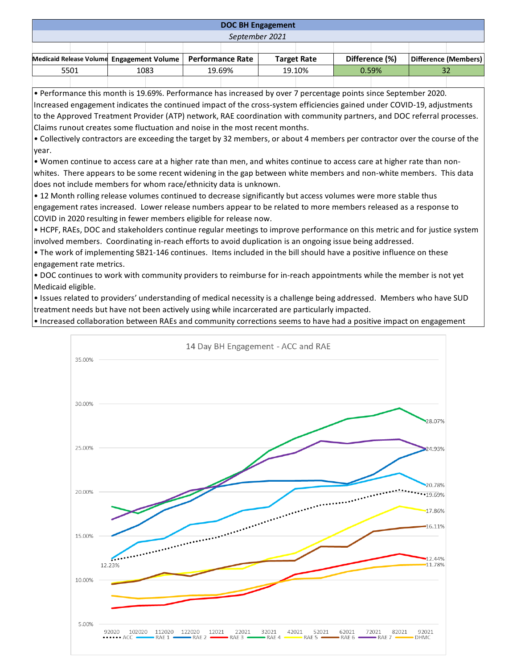## **DOC BH Engagement**

*September 2021*

| Medicaid Release Volume Engagement Volume   Performance Rate |  |      |  |        |  |        | Target Rate |       | Difference (%) |  | Difference (Members) |
|--------------------------------------------------------------|--|------|--|--------|--|--------|-------------|-------|----------------|--|----------------------|
| 5501                                                         |  | 1083 |  | 19.69% |  | 19.10% |             | 0.59% |                |  |                      |
|                                                              |  |      |  |        |  |        |             |       |                |  |                      |

• Performance this month is 19.69%. Performance has increased by over 7 percentage points since September 2020. Increased engagement indicates the continued impact of the cross-system efficiencies gained under COVID-19, adjustments to the Approved Treatment Provider (ATP) network, RAE coordination with community partners, and DOC referral processes. Claims runout creates some fluctuation and noise in the most recent months.

• Collectively contractors are exceeding the target by 32 members, or about 4 members per contractor over the course of the year.

• Women continue to access care at a higher rate than men, and whites continue to access care at higher rate than nonwhites. There appears to be some recent widening in the gap between white members and non-white members. This data does not include members for whom race/ethnicity data is unknown.

• 12 Month rolling release volumes continued to decrease significantly but access volumes were more stable thus engagement rates increased. Lower release numbers appear to be related to more members released as a response to COVID in 2020 resulting in fewer members eligible for release now.

• HCPF, RAEs, DOC and stakeholders continue regular meetings to improve performance on this metric and for justice system involved members. Coordinating in-reach efforts to avoid duplication is an ongoing issue being addressed.

• The work of implementing SB21-146 continues. Items included in the bill should have a positive influence on these engagement rate metrics.

• DOC continues to work with community providers to reimburse for in-reach appointments while the member is not yet Medicaid eligible.

• Issues related to providers' understanding of medical necessity is a challenge being addressed. Members who have SUD treatment needs but have not been actively using while incarcerated are particularly impacted.

• Increased collaboration between RAEs and community corrections seems to have had a positive impact on engagement

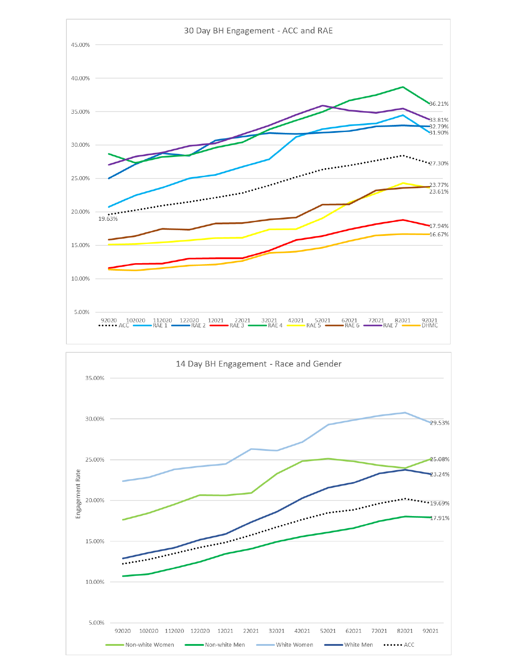